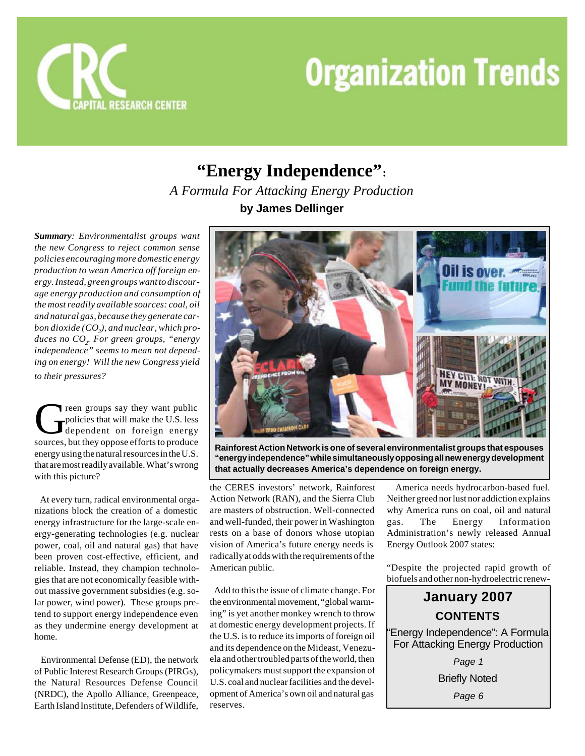

## **"Energy Independence":** *A Formula For Attacking Energy Production* **by James Dellinger**

*Summary: Environmentalist groups want the new Congress to reject common sense policies encouraging more domestic energy production to wean America off foreign energy. Instead, green groups want to discourage energy production and consumption of the most readily available sources: coal, oil and natural gas, because they generate carbon dioxide (CO<sup>2</sup> ), and nuclear, which produces no CO<sup>2</sup> . For green groups, "energy independence" seems to mean not depending on energy! Will the new Congress yield to their pressures?*

The provides say they want public<br>policies that will make the U.S. less<br>dependent on foreign energy<br>sources, but they oppose efforts to produce reen groups say they want public policies that will make the U.S. less dependent on foreign energy energy using the natural resources in the U.S. that are most readily available. What's wrong with this picture?

 At every turn, radical environmental organizations block the creation of a domestic energy infrastructure for the large-scale energy-generating technologies (e.g. nuclear power, coal, oil and natural gas) that have been proven cost-effective, efficient, and reliable. Instead, they champion technologies that are not economically feasible without massive government subsidies (e.g. solar power, wind power). These groups pretend to support energy independence even as they undermine energy development at home.

 Environmental Defense (ED), the network of Public Interest Research Groups (PIRGs), the Natural Resources Defense Council (NRDC), the Apollo Alliance, Greenpeace, Earth Island Institute, Defenders of Wildlife,



**Rainforest Action Network is one of several environmentalist groups that espouses "energy independence" while simultaneously opposing all new energy development that actually decreases America's dependence on foreign energy.**

the CERES investors' network, Rainforest Action Network (RAN), and the Sierra Club are masters of obstruction. Well-connected and well-funded, their power in Washington rests on a base of donors whose utopian vision of America's future energy needs is radically at odds with the requirements of the American public.

 Add to this the issue of climate change. For the environmental movement, "global warming" is yet another monkey wrench to throw at domestic energy development projects. If the U.S. is to reduce its imports of foreign oil and its dependence on the Mideast, Venezuela and other troubled parts of the world, then policymakers must support the expansion of U.S. coal and nuclear facilities and the development of America's own oil and natural gas reserves.

 America needs hydrocarbon-based fuel. Neither greed nor lust nor addiction explains why America runs on coal, oil and natural gas. The Energy Information Administration's newly released Annual Energy Outlook 2007 states:

"Despite the projected rapid growth of biofuels and other non-hydroelectric renew-



Briefly Noted

*Page 6*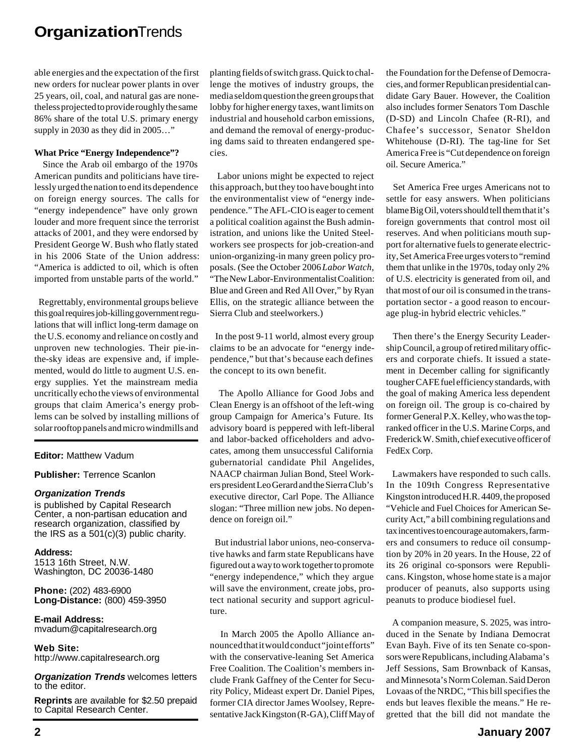able energies and the expectation of the first new orders for nuclear power plants in over 25 years, oil, coal, and natural gas are nonetheless projected to provide roughly the same 86% share of the total U.S. primary energy supply in 2030 as they did in 2005…"

#### **What Price "Energy Independence"?**

 Since the Arab oil embargo of the 1970s American pundits and politicians have tirelessly urged the nation to end its dependence on foreign energy sources. The calls for "energy independence" have only grown louder and more frequent since the terrorist attacks of 2001, and they were endorsed by President George W. Bush who flatly stated in his 2006 State of the Union address: "America is addicted to oil, which is often imported from unstable parts of the world."

 Regrettably, environmental groups believe this goal requires job-killing government regulations that will inflict long-term damage on the U.S. economy and reliance on costly and unproven new technologies. Their pie-inthe-sky ideas are expensive and, if implemented, would do little to augment U.S. energy supplies. Yet the mainstream media uncritically echo the views of environmental groups that claim America's energy problems can be solved by installing millions of solar rooftop panels and micro windmills and

### **Editor:** Matthew Vadum

**Publisher:** Terrence Scanlon

#### *Organization Trends*

is published by Capital Research Center, a non-partisan education and research organization, classified by the IRS as a 501(c)(3) public charity.

**Address:** 1513 16th Street, N.W. Washington, DC 20036-1480

**Phone:** (202) 483-6900 **Long-Distance:** (800) 459-3950

**E-mail Address:** mvadum@capitalresearch.org

**Web Site:** http://www.capitalresearch.org

*Organization Trends* welcomes letters to the editor.

**Reprints** are available for \$2.50 prepaid to Capital Research Center.

planting fields of switch grass. Quick to challenge the motives of industry groups, the media seldom question the green groups that lobby for higher energy taxes, want limits on industrial and household carbon emissions, and demand the removal of energy-producing dams said to threaten endangered species.

 Labor unions might be expected to reject this approach, but they too have bought into the environmentalist view of "energy independence." The AFL-CIO is eager to cement a political coalition against the Bush administration, and unions like the United Steelworkers see prospects for job-creation-and union-organizing-in many green policy proposals. (See the October 2006 *Labor Watch*, "The New Labor-Environmentalist Coalition: Blue and Green and Red All Over," by Ryan Ellis, on the strategic alliance between the Sierra Club and steelworkers.)

 In the post 9-11 world, almost every group claims to be an advocate for "energy independence," but that's because each defines the concept to its own benefit.

 The Apollo Alliance for Good Jobs and Clean Energy is an offshoot of the left-wing group Campaign for America's Future. Its advisory board is peppered with left-liberal and labor-backed officeholders and advocates, among them unsuccessful California gubernatorial candidate Phil Angelides, NAACP chairman Julian Bond, Steel Workers president Leo Gerard and the Sierra Club's executive director, Carl Pope. The Alliance slogan: "Three million new jobs. No dependence on foreign oil."

 But industrial labor unions, neo-conservative hawks and farm state Republicans have figured out a way to work together to promote "energy independence," which they argue will save the environment, create jobs, protect national security and support agriculture.

 In March 2005 the Apollo Alliance announced that it would conduct "joint efforts" with the conservative-leaning Set America Free Coalition. The Coalition's members include Frank Gaffney of the Center for Security Policy, Mideast expert Dr. Daniel Pipes, former CIA director James Woolsey, Representative Jack Kingston (R-GA), Cliff May of the Foundation for the Defense of Democracies, and former Republican presidential candidate Gary Bauer. However, the Coalition also includes former Senators Tom Daschle (D-SD) and Lincoln Chafee (R-RI), and Chafee's successor, Senator Sheldon Whitehouse (D-RI). The tag-line for Set America Free is "Cut dependence on foreign oil. Secure America."

 Set America Free urges Americans not to settle for easy answers. When politicians blame Big Oil, voters should tell them that it's foreign governments that control most oil reserves. And when politicians mouth support for alternative fuels to generate electricity, Set America Free urges voters to "remind them that unlike in the 1970s, today only 2% of U.S. electricity is generated from oil, and that most of our oil is consumed in the transportation sector - a good reason to encourage plug-in hybrid electric vehicles."

 Then there's the Energy Security Leadership Council, a group of retired military officers and corporate chiefs. It issued a statement in December calling for significantly tougher CAFE fuel efficiency standards, with the goal of making America less dependent on foreign oil. The group is co-chaired by former General P.X. Kelley, who was the topranked officer in the U.S. Marine Corps, and Frederick W. Smith, chief executive officer of FedEx Corp.

 Lawmakers have responded to such calls. In the 109th Congress Representative Kingston introduced H.R. 4409, the proposed "Vehicle and Fuel Choices for American Security Act," a bill combining regulations and tax incentives to encourage automakers, farmers and consumers to reduce oil consumption by 20% in 20 years. In the House, 22 of its 26 original co-sponsors were Republicans. Kingston, whose home state is a major producer of peanuts, also supports using peanuts to produce biodiesel fuel.

 A companion measure, S. 2025, was introduced in the Senate by Indiana Democrat Evan Bayh. Five of its ten Senate co-sponsors were Republicans, including Alabama's Jeff Sessions, Sam Brownback of Kansas, and Minnesota's Norm Coleman. Said Deron Lovaas of the NRDC, "This bill specifies the ends but leaves flexible the means." He regretted that the bill did not mandate the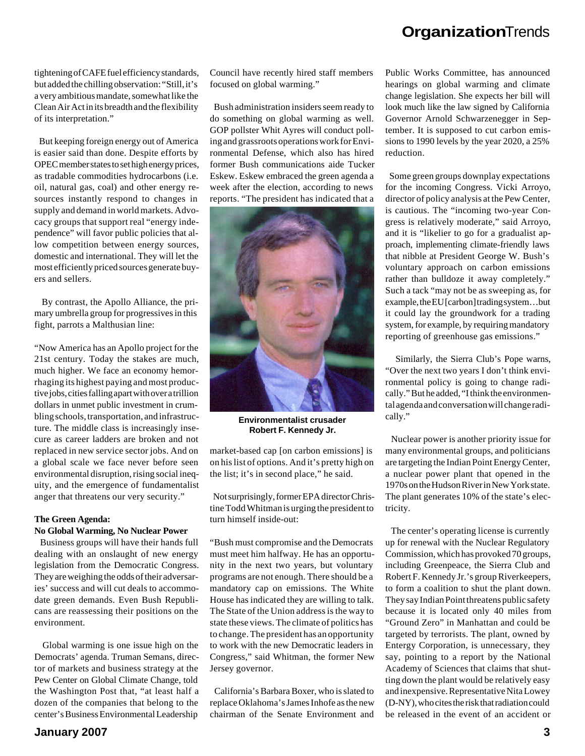tightening of CAFE fuel efficiency standards, but added the chilling observation: "Still, it's a very ambitious mandate, somewhat like the Clean Air Act in its breadth and the flexibility of its interpretation."

 But keeping foreign energy out of America is easier said than done. Despite efforts by OPEC member states to set high energy prices, as tradable commodities hydrocarbons (i.e. oil, natural gas, coal) and other energy resources instantly respond to changes in supply and demand in world markets. Advocacy groups that support real "energy independence" will favor public policies that allow competition between energy sources, domestic and international. They will let the most efficiently priced sources generate buyers and sellers.

 By contrast, the Apollo Alliance, the primary umbrella group for progressives in this fight, parrots a Malthusian line:

"Now America has an Apollo project for the 21st century. Today the stakes are much, much higher. We face an economy hemorrhaging its highest paying and most productive jobs, cities falling apart with over a trillion dollars in unmet public investment in crumbling schools, transportation, and infrastructure. The middle class is increasingly insecure as career ladders are broken and not replaced in new service sector jobs. And on a global scale we face never before seen environmental disruption, rising social inequity, and the emergence of fundamentalist anger that threatens our very security."

## **The Green Agenda: No Global Warming, No Nuclear Power**

 Business groups will have their hands full dealing with an onslaught of new energy legislation from the Democratic Congress. They are weighing the odds of their adversaries' success and will cut deals to accommodate green demands. Even Bush Republicans are reassessing their positions on the environment.

 Global warming is one issue high on the Democrats' agenda. Truman Semans, director of markets and business strategy at the Pew Center on Global Climate Change, told the Washington Post that, "at least half a dozen of the companies that belong to the center's Business Environmental Leadership

Council have recently hired staff members focused on global warming."

 Bush administration insiders seem ready to do something on global warming as well. GOP pollster Whit Ayres will conduct polling and grassroots operations work for Environmental Defense, which also has hired former Bush communications aide Tucker Eskew. Eskew embraced the green agenda a week after the election, according to news reports. "The president has indicated that a



**Environmentalist crusader Robert F. Kennedy Jr.**

market-based cap [on carbon emissions] is on his list of options. And it's pretty high on the list; it's in second place," he said.

 Not surprisingly, former EPA director Christine Todd Whitman is urging the president to turn himself inside-out:

"Bush must compromise and the Democrats must meet him halfway. He has an opportunity in the next two years, but voluntary programs are not enough. There should be a mandatory cap on emissions. The White House has indicated they are willing to talk. The State of the Union address is the way to state these views. The climate of politics has to change. The president has an opportunity to work with the new Democratic leaders in Congress," said Whitman, the former New Jersey governor.

 California's Barbara Boxer, who is slated to replace Oklahoma's James Inhofe as the new chairman of the Senate Environment and

Public Works Committee, has announced hearings on global warming and climate change legislation. She expects her bill will look much like the law signed by California Governor Arnold Schwarzenegger in September. It is supposed to cut carbon emissions to 1990 levels by the year 2020, a 25% reduction.

 Some green groups downplay expectations for the incoming Congress. Vicki Arroyo, director of policy analysis at the Pew Center, is cautious. The "incoming two-year Congress is relatively moderate," said Arroyo, and it is "likelier to go for a gradualist approach, implementing climate-friendly laws that nibble at President George W. Bush's voluntary approach on carbon emissions rather than bulldoze it away completely." Such a tack "may not be as sweeping as, for example, the EU [carbon] trading system…but it could lay the groundwork for a trading system, for example, by requiring mandatory reporting of greenhouse gas emissions."

 Similarly, the Sierra Club's Pope warns, "Over the next two years I don't think environmental policy is going to change radically." But he added, "I think the environmental agenda and conversation will change radically."

 Nuclear power is another priority issue for many environmental groups, and politicians are targeting the Indian Point Energy Center, a nuclear power plant that opened in the 1970s on the Hudson River in New York state. The plant generates 10% of the state's electricity.

 The center's operating license is currently up for renewal with the Nuclear Regulatory Commission, which has provoked 70 groups, including Greenpeace, the Sierra Club and Robert F. Kennedy Jr.'s group Riverkeepers, to form a coalition to shut the plant down. They say Indian Point threatens public safety because it is located only 40 miles from "Ground Zero" in Manhattan and could be targeted by terrorists. The plant, owned by Entergy Corporation, is unnecessary, they say, pointing to a report by the National Academy of Sciences that claims that shutting down the plant would be relatively easy and inexpensive. Representative Nita Lowey (D-NY), who cites the risk that radiation could be released in the event of an accident or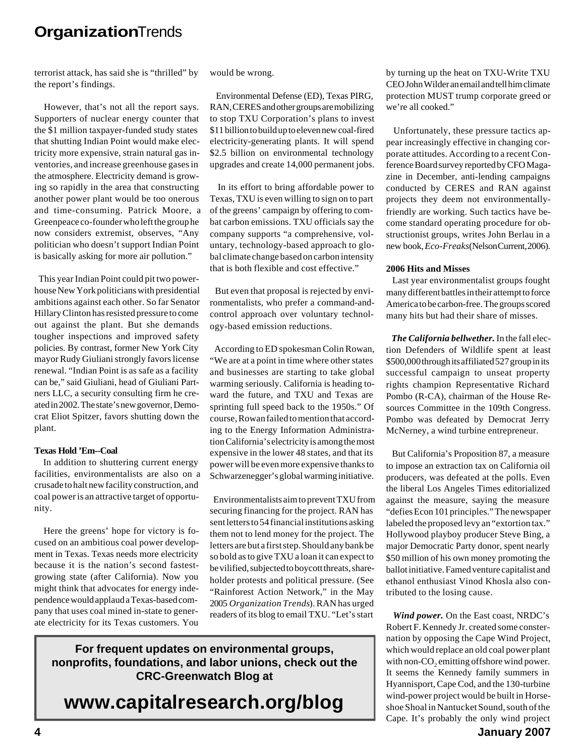terrorist attack, has said she is "thrilled" by the report's findings.

 However, that's not all the report says. Supporters of nuclear energy counter that the \$1 million taxpayer-funded study states that shutting Indian Point would make electricity more expensive, strain natural gas inventories, and increase greenhouse gases in the atmosphere. Electricity demand is growing so rapidly in the area that constructing another power plant would be too onerous and time-consuming. Patrick Moore, a Greenpeace co-founder who left the group he now considers extremist, observes, "Any politician who doesn't support Indian Point is basically asking for more air pollution."

 This year Indian Point could pit two powerhouse New York politicians with presidential ambitions against each other. So far Senator Hillary Clinton has resisted pressure to come out against the plant. But she demands tougher inspections and improved safety policies. By contrast, former New York City mayor Rudy Giuliani strongly favors license renewal. "Indian Point is as safe as a facility can be," said Giuliani, head of Giuliani Partners LLC, a security consulting firm he created in 2002. The state's new governor, Democrat Eliot Spitzer, favors shutting down the plant.

## **Texas Hold 'Em--Coal**

 In addition to shuttering current energy facilities, environmentalists are also on a crusade to halt new facility construction, and coal power is an attractive target of opportunity.

 Here the greens' hope for victory is focused on an ambitious coal power development in Texas. Texas needs more electricity because it is the nation's second fastestgrowing state (after California). Now you might think that advocates for energy independence would applaud a Texas-based company that uses coal mined in-state to generate electricity for its Texas customers. You

would be wrong.

 Environmental Defense (ED), Texas PIRG, RAN, CERES and other groups are mobilizing to stop TXU Corporation's plans to invest \$11 billion to build up to eleven new coal-fired electricity-generating plants. It will spend \$2.5 billion on environmental technology upgrades and create 14,000 permanent jobs.

 In its effort to bring affordable power to Texas, TXU is even willing to sign on to part of the greens' campaign by offering to combat carbon emissions. TXU officials say the company supports "a comprehensive, voluntary, technology-based approach to global climate change based on carbon intensity that is both flexible and cost effective."

 But even that proposal is rejected by environmentalists, who prefer a command-andcontrol approach over voluntary technology-based emission reductions.

 According to ED spokesman Colin Rowan, "We are at a point in time where other states and businesses are starting to take global warming seriously. California is heading toward the future, and TXU and Texas are sprinting full speed back to the 1950s." Of course, Rowan failed to mention that according to the Energy Information Administration California's electricity is among the most expensive in the lower 48 states, and that its power will be even more expensive thanks to Schwarzenegger's global warming initiative.

 Environmentalists aim to prevent TXU from securing financing for the project. RAN has sent letters to 54 financial institutions asking them not to lend money for the project. The letters are but a first step. Should any bank be so bold as to give TXU a loan it can expect to be vilified, subjected to boycott threats, shareholder protests and political pressure. (See "Rainforest Action Network," in the May 2005 *Organization Trends*). RAN has urged readers of its blog to email TXU. "Let's start

**For frequent updates on environmental groups, nonprofits, foundations, and labor unions, check out the CRC-Greenwatch Blog at**

**www.capitalresearch.org/blog**

by turning up the heat on TXU-Write TXU CEO John Wilder an email and tell him climate protection MUST trump corporate greed or we're all cooked."

 Unfortunately, these pressure tactics appear increasingly effective in changing corporate attitudes. According to a recent Conference Board survey reported by CFO Magazine in December, anti-lending campaigns conducted by CERES and RAN against projects they deem not environmentallyfriendly are working. Such tactics have become standard operating procedure for obstructionist groups, writes John Berlau in a new book, *Eco-Freaks* (Nelson Current, 2006).

### **2006 Hits and Misses**

 Last year environmentalist groups fought many different battles in their attempt to force America to be carbon-free. The groups scored many hits but had their share of misses.

 *The California bellwether.* In the fall election Defenders of Wildlife spent at least \$500,000 through its affiliated 527 group in its successful campaign to unseat property rights champion Representative Richard Pombo (R-CA), chairman of the House Resources Committee in the 109th Congress. Pombo was defeated by Democrat Jerry McNerney, a wind turbine entrepreneur.

 But California's Proposition 87, a measure to impose an extraction tax on California oil producers, was defeated at the polls. Even the liberal Los Angeles Times editorialized against the measure, saying the measure "defies Econ 101 principles." The newspaper labeled the proposed levy an "extortion tax." Hollywood playboy producer Steve Bing, a major Democratic Party donor, spent nearly \$50 million of his own money promoting the ballot initiative. Famed venture capitalist and ethanol enthusiast Vinod Khosla also contributed to the losing cause.

 *Wind power.* On the East coast, NRDC's Robert F. Kennedy Jr. created some consternation by opposing the Cape Wind Project, which would replace an old coal power plant with non- $\mathrm{CO}_2$  emitting offshore wind power. It seems the Kennedy family summers in Hyannisport, Cape Cod, and the 130-turbine wind-power project would be built in Horseshoe Shoal in Nantucket Sound, south of the Cape. It's probably the only wind project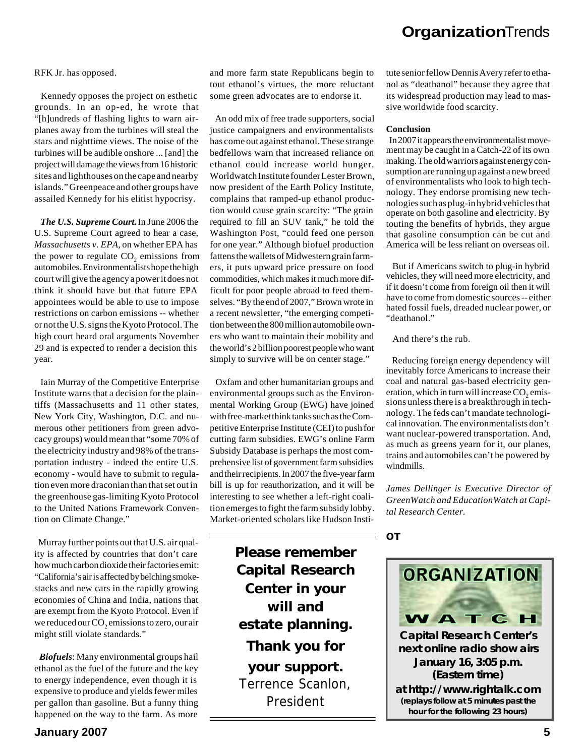#### RFK Jr. has opposed.

 Kennedy opposes the project on esthetic grounds. In an op-ed, he wrote that "[h]undreds of flashing lights to warn airplanes away from the turbines will steal the stars and nighttime views. The noise of the turbines will be audible onshore ... [and] the project will damage the views from 16 historic sites and lighthouses on the cape and nearby islands." Greenpeace and other groups have assailed Kennedy for his elitist hypocrisy.

 *The U.S. Supreme Court.* In June 2006 the U.S. Supreme Court agreed to hear a case, *Massachusetts v. EPA*, on whether EPA has the power to regulate  $CO_2$  emissions from automobiles. Environmentalists hope the high court will give the agency a power it does not think it should have but that future EPA appointees would be able to use to impose restrictions on carbon emissions -- whether or not the U.S. signs the Kyoto Protocol. The high court heard oral arguments November 29 and is expected to render a decision this year.

 Iain Murray of the Competitive Enterprise Institute warns that a decision for the plaintiffs (Massachusetts and 11 other states, New York City, Washington, D.C. and numerous other petitioners from green advocacy groups) would mean that "some 70% of the electricity industry and 98% of the transportation industry - indeed the entire U.S. economy - would have to submit to regulation even more draconian than that set out in the greenhouse gas-limiting Kyoto Protocol to the United Nations Framework Convention on Climate Change."

 Murray further points out that U.S. air quality is affected by countries that don't care how much carbon dioxide their factories emit: "California's air is affected by belching smokestacks and new cars in the rapidly growing economies of China and India, nations that are exempt from the Kyoto Protocol. Even if we reduced our  $\mathrm{CO}_2$  emissions to zero, our air might still violate standards."

 *Biofuels*: Many environmental groups hail ethanol as the fuel of the future and the key to energy independence, even though it is expensive to produce and yields fewer miles per gallon than gasoline. But a funny thing happened on the way to the farm. As more

and more farm state Republicans begin to tout ethanol's virtues, the more reluctant some green advocates are to endorse it.

 An odd mix of free trade supporters, social justice campaigners and environmentalists has come out against ethanol. These strange bedfellows warn that increased reliance on ethanol could increase world hunger. Worldwatch Institute founder Lester Brown, now president of the Earth Policy Institute, complains that ramped-up ethanol production would cause grain scarcity: "The grain required to fill an SUV tank," he told the Washington Post, "could feed one person for one year." Although biofuel production fattens the wallets of Midwestern grain farmers, it puts upward price pressure on food commodities, which makes it much more difficult for poor people abroad to feed themselves. "By the end of 2007," Brown wrote in a recent newsletter, "the emerging competition between the 800 million automobile owners who want to maintain their mobility and the world's 2 billion poorest people who want simply to survive will be on center stage."

 Oxfam and other humanitarian groups and environmental groups such as the Environmental Working Group (EWG) have joined with free-market think tanks such as the Competitive Enterprise Institute (CEI) to push for cutting farm subsidies. EWG's online Farm Subsidy Database is perhaps the most comprehensive list of government farm subsidies and their recipients. In 2007 the five-year farm bill is up for reauthorization, and it will be interesting to see whether a left-right coalition emerges to fight the farm subsidy lobby. Market-oriented scholars like Hudson Insti-

> **Please remember Capital Research Center in your will and estate planning. Thank you for your support.** Terrence Scanlon, President

tute senior fellow Dennis Avery refer to ethanol as "deathanol" because they agree that its widespread production may lead to massive worldwide food scarcity.

#### **Conclusion**

 In 2007 it appears the environmentalist movement may be caught in a Catch-22 of its own making. The old warriors against energy consumption are running up against a new breed of environmentalists who look to high technology. They endorse promising new technologies such as plug-in hybrid vehicles that operate on both gasoline and electricity. By touting the benefits of hybrids, they argue that gasoline consumption can be cut and America will be less reliant on overseas oil.

 But if Americans switch to plug-in hybrid vehicles, they will need more electricity, and if it doesn't come from foreign oil then it will have to come from domestic sources -- either hated fossil fuels, dreaded nuclear power, or "deathanol."

And there's the rub.

 Reducing foreign energy dependency will inevitably force Americans to increase their coal and natural gas-based electricity generation, which in turn will increase  $\mathrm{CO}_2$  emissions unless there is a breakthrough in technology. The feds can't mandate technological innovation. The environmentalists don't want nuclear-powered transportation. And, as much as greens yearn for it, our planes, trains and automobiles can't be powered by windmills.

*James Dellinger is Executive Director of GreenWatch and EducationWatch at Capital Research Center.*

*OT*



**Capital Research Center's next online radio show airs January 16, 3:05 p.m. (Eastern time) at** *http://www.rightalk.com* **(replays follow at 5 minutes past the hour for the following 23 hours)**